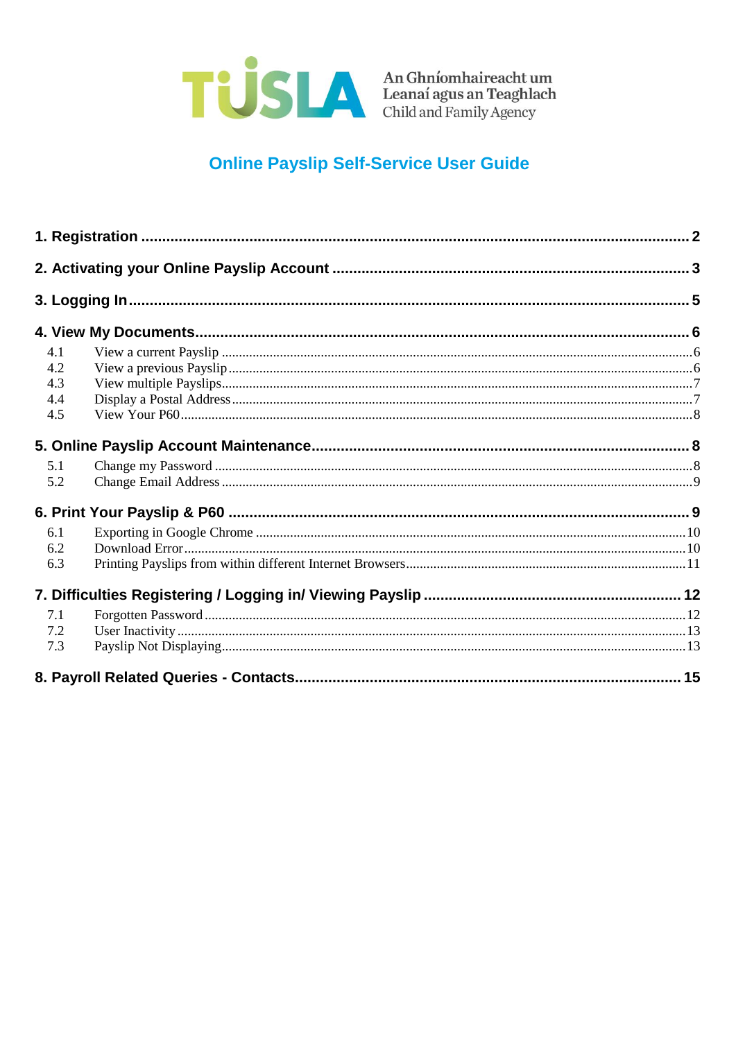

## **Online Payslip Self-Service User Guide**

| 4.1<br>4.2<br>4.3<br>4.4<br>4.5 |  |
|---------------------------------|--|
|                                 |  |
|                                 |  |
|                                 |  |
|                                 |  |
|                                 |  |
|                                 |  |
|                                 |  |
|                                 |  |
|                                 |  |
| 5.1                             |  |
| 5.2                             |  |
|                                 |  |
| 6.1                             |  |
| 6.2                             |  |
| 6.3                             |  |
|                                 |  |
| 7.1                             |  |
| 7.2                             |  |
| 7.3                             |  |
|                                 |  |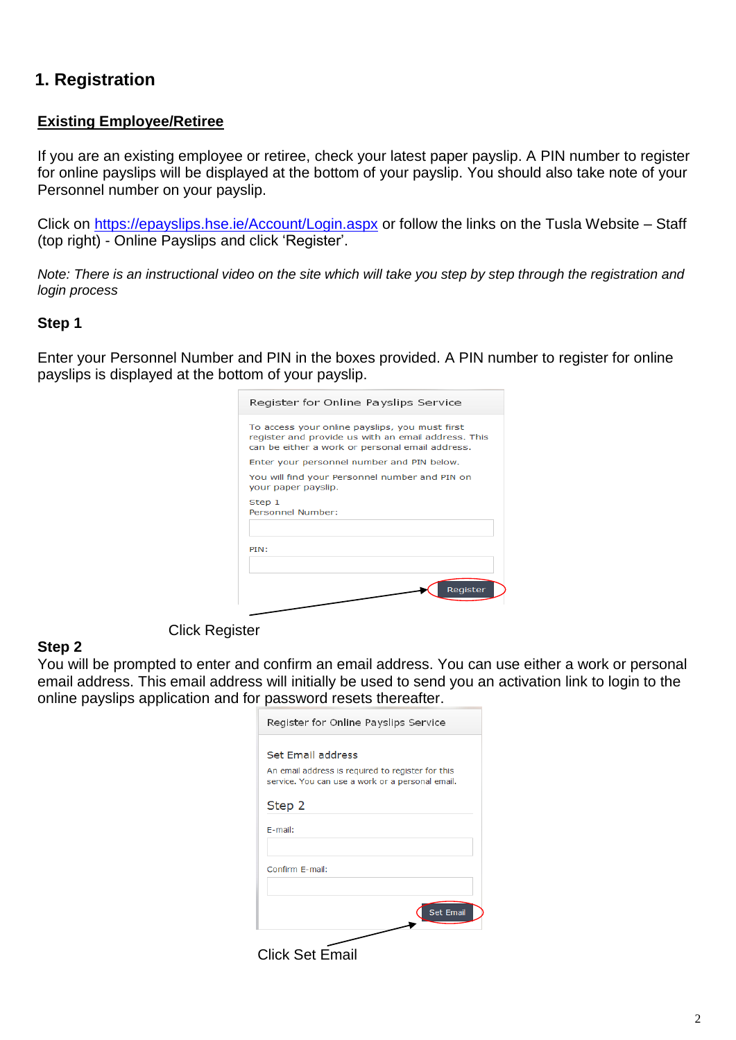### <span id="page-1-0"></span>**1. Registration**

#### **Existing Employee/Retiree**

If you are an existing employee or retiree, check your latest paper payslip. A PIN number to register for online payslips will be displayed at the bottom of your payslip. You should also take note of your Personnel number on your payslip.

Click on https://epayslips.hse.ie/Account/Login.aspx or follow the links on the Tusla Website – Staff (top right) - Online Payslips and click 'Register'.

*Note: There is an instructional video on the site which will take you step by step through the registration and login process*

#### **Step 1**

Enter your Personnel Number and PIN in the boxes provided. A PIN number to register for online payslips is displayed at the bottom of your payslip.

| Register for Online Payslips Service                                                                                                                     |
|----------------------------------------------------------------------------------------------------------------------------------------------------------|
| To access your online payslips, you must first<br>register and provide us with an email address. This<br>can be either a work or personal email address. |
| Enter your personnel number and PIN below.                                                                                                               |
| You will find your Personnel number and PIN on<br>your paper payslip.                                                                                    |
| Step 1<br>Personnel Number:                                                                                                                              |
| PIN:                                                                                                                                                     |
| Reaister                                                                                                                                                 |

#### **Step 2**

Click Register

You will be prompted to enter and confirm an email address. You can use either a work or personal email address. This email address will initially be used to send you an activation link to login to the online payslips application and for password resets thereafter.

| Register for Online Payslips Service                                                                  |
|-------------------------------------------------------------------------------------------------------|
| Set Email address                                                                                     |
| An email address is required to register for this<br>service. You can use a work or a personal email. |
| Step 2                                                                                                |
| E-mail:                                                                                               |
| Confirm E-mail:                                                                                       |
|                                                                                                       |
| <b>Set Email</b>                                                                                      |
|                                                                                                       |

Click Set Email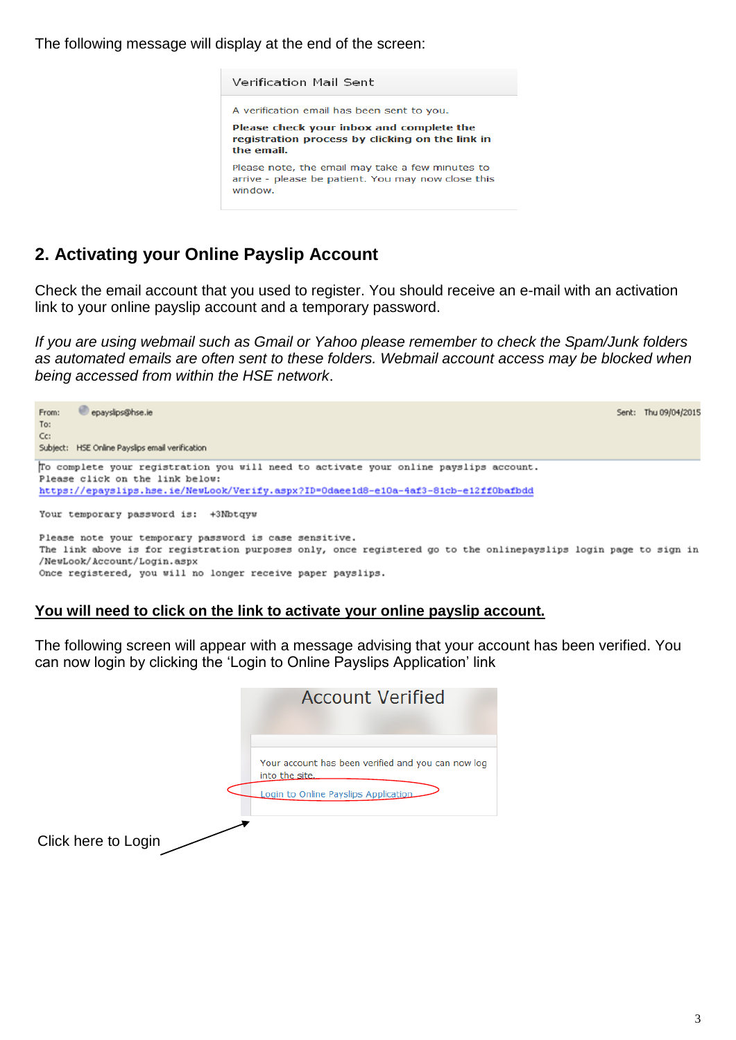The following message will display at the end of the screen:



### <span id="page-2-0"></span>**2. Activating your Online Payslip Account**

Check the email account that you used to register. You should receive an e-mail with an activation link to your online payslip account and a temporary password.

*If you are using webmail such as Gmail or Yahoo please remember to check the Spam/Junk folders as automated emails are often sent to these folders. Webmail account access may be blocked when being accessed from within the HSE network*.



#### **You will need to click on the link to activate your online payslip account.**

The following screen will appear with a message advising that your account has been verified. You can now login by clicking the 'Login to Online Payslips Application' link

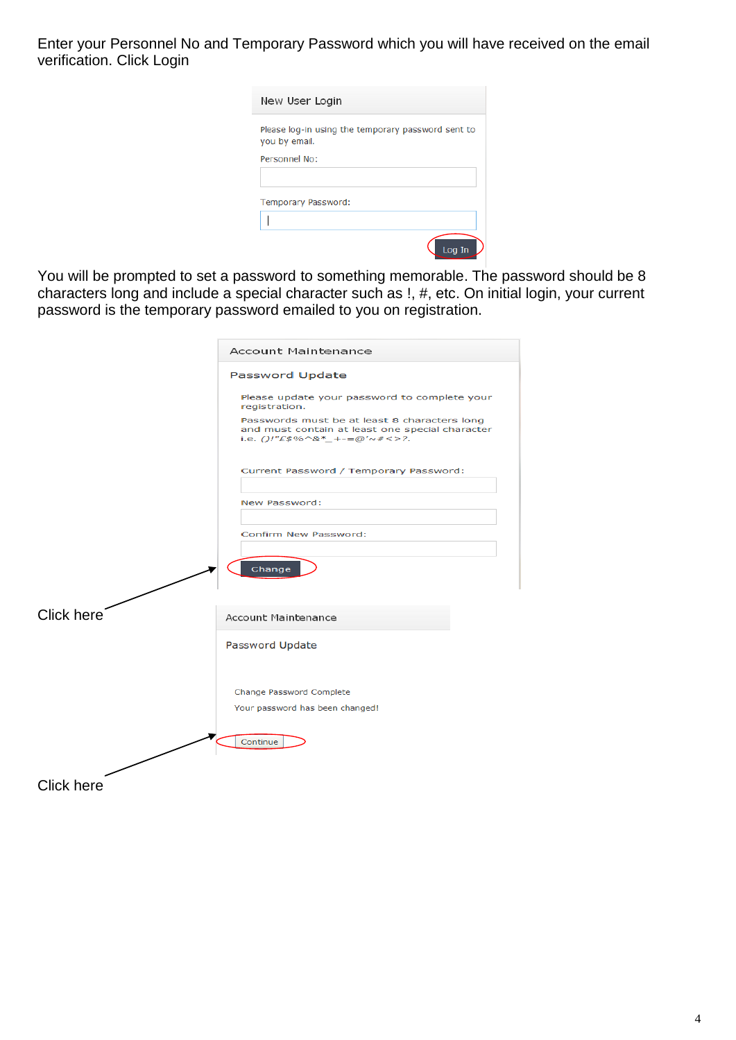Enter your Personnel No and Temporary Password which you will have received on the email verification. Click Login

| New User Login                                                      |
|---------------------------------------------------------------------|
| Please log-in using the temporary password sent to<br>you by email. |
| Personnel No:                                                       |
|                                                                     |
| Temporary Password:                                                 |
|                                                                     |
| Loa                                                                 |

You will be prompted to set a password to something memorable. The password should be 8 characters long and include a special character such as !, #, etc. On initial login, your current password is the temporary password emailed to you on registration.

|                   | <b>Account Maintenance</b>                                                                                                      |
|-------------------|---------------------------------------------------------------------------------------------------------------------------------|
|                   | Password Update                                                                                                                 |
|                   | Please update your password to complete your<br>registration.                                                                   |
|                   | Passwords must be at least 8 characters long<br>and must contain at least one special character<br>i.e. ()!"£\$%^&*_+-=@'~#<>?. |
|                   | Current Password / Temporary Password:                                                                                          |
|                   | New Password:                                                                                                                   |
|                   | Confirm New Password:<br>Change                                                                                                 |
| Click here        | <b>Account Maintenance</b>                                                                                                      |
|                   | Password Update                                                                                                                 |
|                   | Change Password Complete<br>Your password has been changed!                                                                     |
|                   | Continue                                                                                                                        |
| <b>Click here</b> |                                                                                                                                 |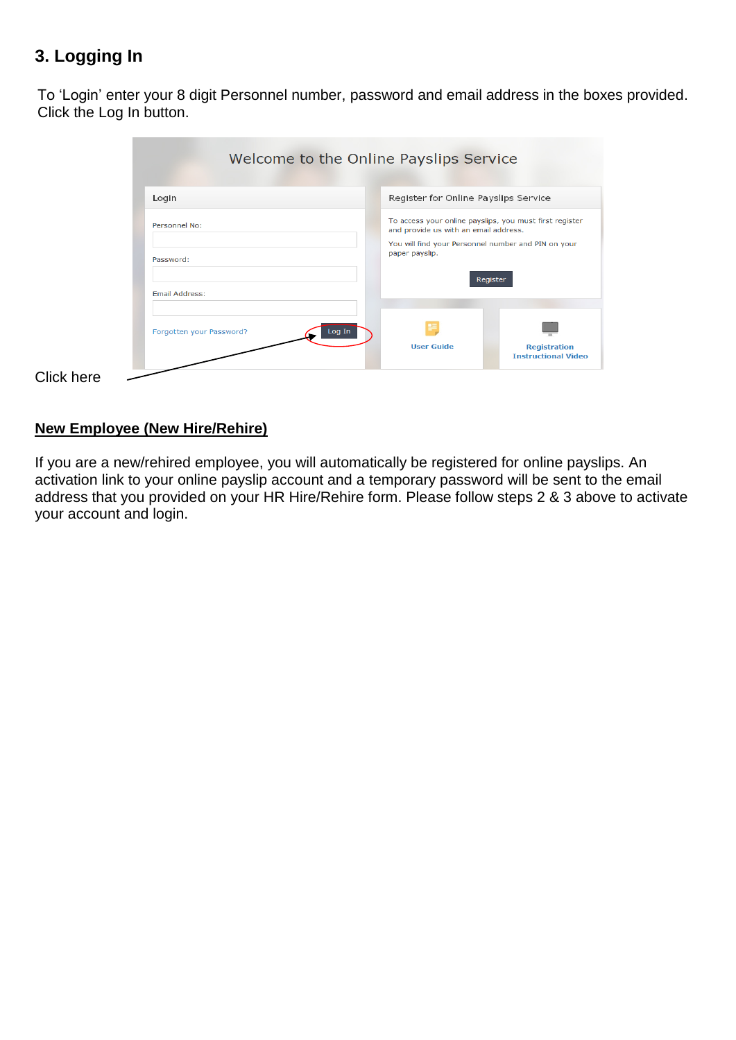## <span id="page-4-0"></span>**3. Logging In**

To 'Login' enter your 8 digit Personnel number, password and email address in the boxes provided. Click the Log In button.

| Login          | Register for Online Payslips Service                                                             |          |
|----------------|--------------------------------------------------------------------------------------------------|----------|
| Personnel No:  | To access your online payslips, you must first register<br>and provide us with an email address. |          |
|                | You will find your Personnel number and PIN on your<br>paper payslip.                            |          |
| Password:      |                                                                                                  |          |
| Email Address: |                                                                                                  | Register |
|                |                                                                                                  |          |
|                |                                                                                                  |          |

 $C$ lick here  $\overline{\phantom{a}}$ 

#### **New Employee (New Hire/Rehire)**

If you are a new/rehired employee, you will automatically be registered for online payslips. An activation link to your online payslip account and a temporary password will be sent to the email address that you provided on your HR Hire/Rehire form. Please follow steps 2 & 3 above to activate your account and login.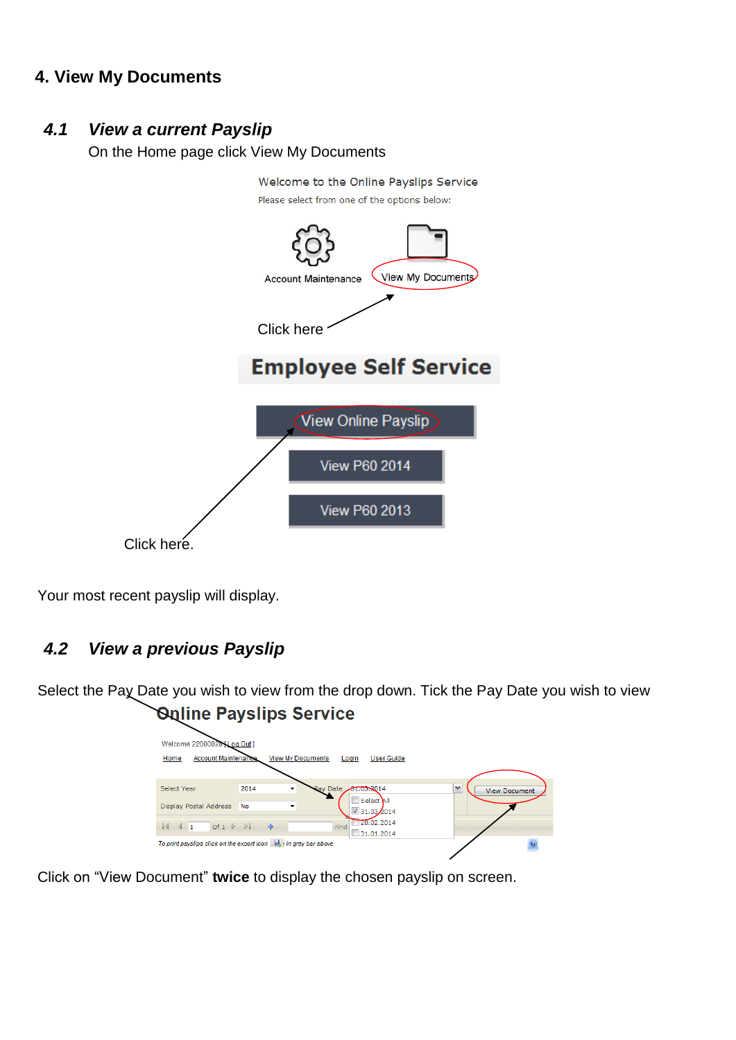### <span id="page-5-0"></span>**4. View My Documents**

#### <span id="page-5-1"></span>*4.1 View a current Payslip*

On the Home page click View My Documents



Your most recent payslip will display.

### <span id="page-5-2"></span>*4.2 View a previous Payslip*

Select the Pay Date you wish to view from the drop down. Tick the Pay Date you wish to view **Online Payslips Service** 

| Welcome 22000028 [ Log Out ]<br><b>Account Maintenance</b><br>Home | <b>View My Documents</b><br><b>User Guide</b><br>Login                                                           |                                      |
|--------------------------------------------------------------------|------------------------------------------------------------------------------------------------------------------|--------------------------------------|
| Select Year<br>Display Postal Address                              | <b>Ray Date</b><br>2014<br>21.03.2014<br>۰<br>Select All<br><b>No</b><br>٠<br>$\sqrt{31.03/2014}$                | $\checkmark$<br><b>View Document</b> |
| $\left\{ \begin{array}{ccc} 1 & \text{Of } 1 \end{array} \right\}$ | 28.02.2014<br>Find<br>31.01.2014<br>To print payslips click on the export icon $\  \cdot \ $ , in grey bar above |                                      |

Click on "View Document" **twice** to display the chosen payslip on screen.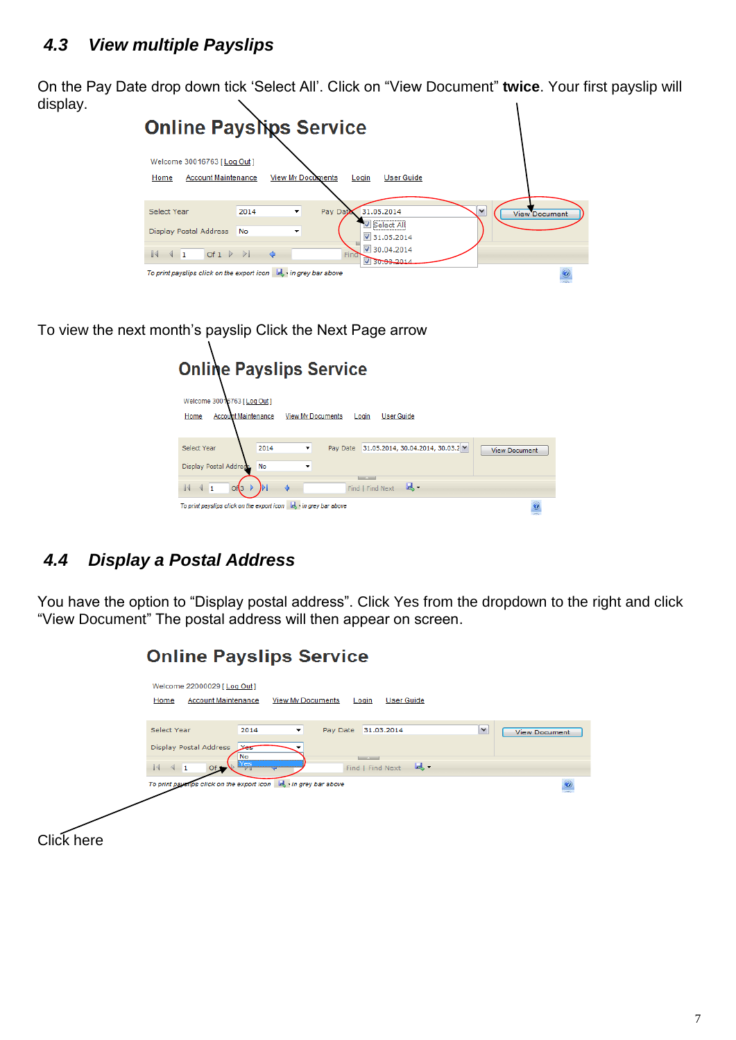<span id="page-6-0"></span>On the Pay Date drop down tick 'Select All'. Click on "View Document" **twice**. Your first payslip will display.  $\mathbf{r}$ 

| <b>Online Payslips Service</b>                                                                                                                                                     |                                      |
|------------------------------------------------------------------------------------------------------------------------------------------------------------------------------------|--------------------------------------|
| Welcome 30016763 [ Log Out ]<br><b>View My Documents</b><br><b>Account Maintenance</b><br><b>User Guide</b><br>Login<br>Home                                                       |                                      |
| 31.05.2014<br>Select Year<br>2014<br>Pay Data<br>▼<br>√ Select All<br><b>Display Postal Address</b><br>No<br>۰<br>$\sqrt{31.05.2014}$<br>$\sqrt{30.04.2014}$                       | $\checkmark$<br><b>View Document</b> |
| $\mathbb{I}$<br>Of $1 \quad \triangleright \quad \triangleright$<br>$\triangleleft$ 1<br>Find<br>30.03.2014<br>To print payslips click on the export icon $\ $ , in grey bar above |                                      |

To view the next month's payslip Click the Next Page arrow

| <b>Online Payslips Service</b>                                                                      |                      |  |  |
|-----------------------------------------------------------------------------------------------------|----------------------|--|--|
| Welcome 30016763 [ Log Out ]                                                                        |                      |  |  |
| <b>Account Maintenance</b><br><b>View My Documents</b><br><b>User Guide</b><br>Home<br>Login        |                      |  |  |
| 31.05.2014, 30.04.2014, 30.03.2 $\vee$<br>Select Year<br>Pay Date<br>2014<br>۰                      | <b>View Document</b> |  |  |
| Display Postal Address.<br><b>No</b><br>▼                                                           |                      |  |  |
| <b>Contract Contract Contract Contract</b><br>臥.<br>$\ddot{\phi}$<br>Find   Find Next<br>и<br>Of(3) |                      |  |  |
| To print payslips click on the export icon by in grey bar above                                     |                      |  |  |

## <span id="page-6-1"></span>*4.4 Display a Postal Address*

You have the option to "Display postal address". Click Yes from the dropdown to the right and click "View Document" The postal address will then appear on screen.

|            | <b>Online Payslips Service</b>                                                                                                                                                                                                                                                                                                                                 |                      |
|------------|----------------------------------------------------------------------------------------------------------------------------------------------------------------------------------------------------------------------------------------------------------------------------------------------------------------------------------------------------------------|----------------------|
|            | Welcome 22000029 [Log Out]<br><b>Account Maintenance</b><br><b>View My Documents</b><br>Home<br><b>User Guide</b><br>Login                                                                                                                                                                                                                                     |                      |
|            | M<br>Select Year<br>2014<br>Pay Date<br>31.03.2014<br>۰<br>Display Postal Address<br>Yes<br>No<br><b>Contract Service</b><br>Yes<br>$-1$<br>$\begin{array}{ccc} \n\begin{array}{ccc} \n\end{array} & \n\begin{array}{ccc} \n\end{array} & \n\begin{array}{ccc} \n\end{array} & \n\begin{array}{ccc} \n\end{array} & \n\end{array}$<br>Find   Find Next<br>Of 1 | <b>View Document</b> |
|            | To print payents click on the export icon by in grey bar above                                                                                                                                                                                                                                                                                                 | $o$                  |
| Click here |                                                                                                                                                                                                                                                                                                                                                                |                      |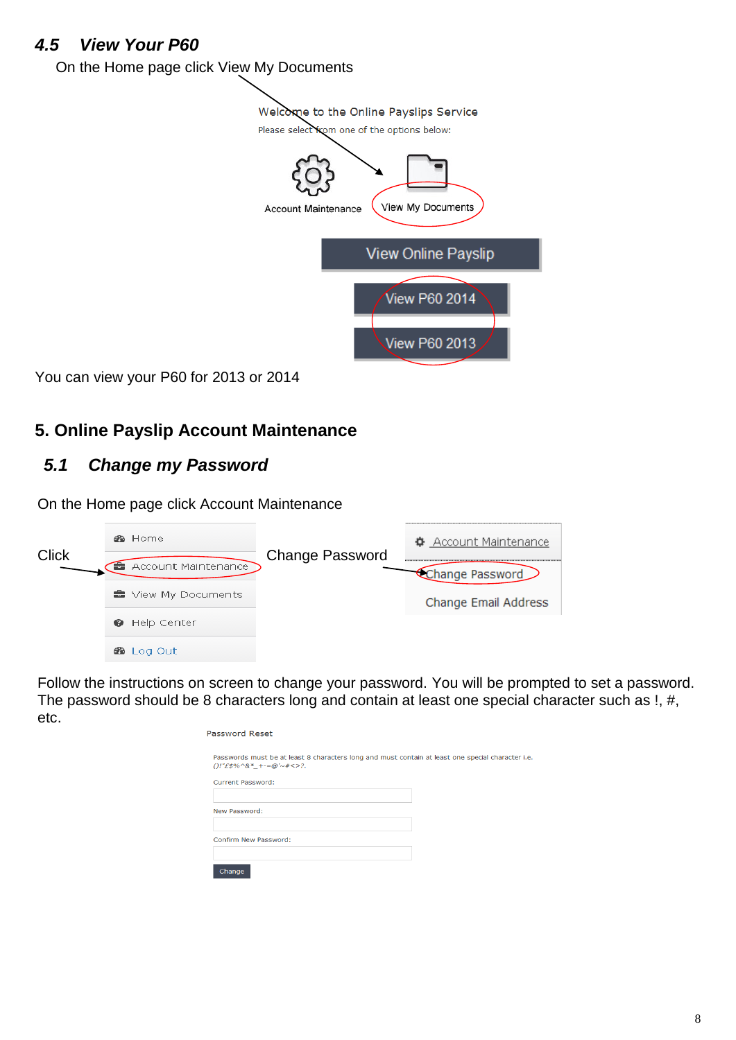### <span id="page-7-0"></span>*4.5 View Your P60*

On the Home page click View My Documents



You can view your P60 for 2013 or 2014

## <span id="page-7-1"></span>**5. Online Payslip Account Maintenance**

### <span id="page-7-2"></span>*5.1 Change my Password*

On the Home page click Account Maintenance

| <b>Click</b> | <b>®</b> Home       | <b>Change Password</b> | <u> ♦ Account Maintenance</u> |
|--------------|---------------------|------------------------|-------------------------------|
|              | Account Maintenance |                        | Change Password               |
|              | ■ View My Documents |                        | Change Email Address          |
|              | Help Center<br>๏    |                        |                               |
|              | <b>20</b> Log Out   |                        |                               |

Follow the instructions on screen to change your password. You will be prompted to set a password. The password should be 8 characters long and contain at least one special character such as !, #, etc.

| Password Reset                                                                                                                                 |  |
|------------------------------------------------------------------------------------------------------------------------------------------------|--|
| Passwords must be at least 8 characters long and must contain at least one special character i.e.<br>$( )!^{\prime\prime}$ £\$%^&*_+-=@'~#<>?. |  |
| Current Password:                                                                                                                              |  |
| New Password:                                                                                                                                  |  |
| Confirm New Password:                                                                                                                          |  |
| Change                                                                                                                                         |  |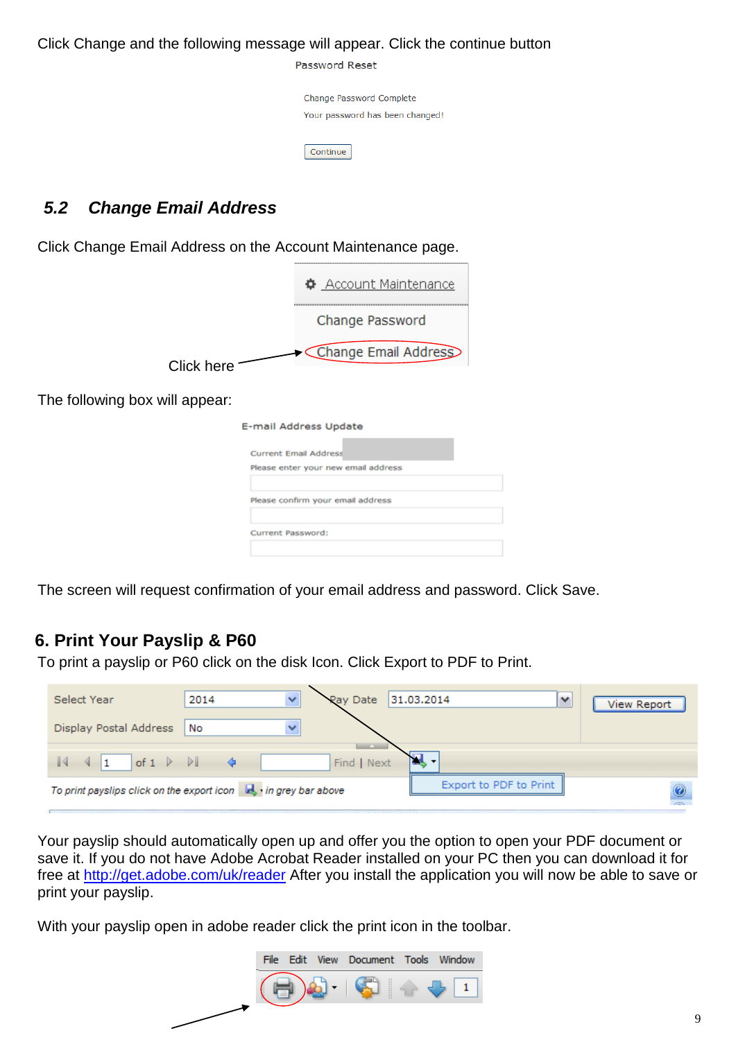#### Click Change and the following message will appear. Click the continue button

Password Reset

Change Password Complete Your password has been changed!

Continue

### <span id="page-8-0"></span>*5.2 Change Email Address*

Click Change Email Address on the Account Maintenance page.

|             | ♦ Account Maintenance |
|-------------|-----------------------|
|             | Change Password       |
| Click here  | Change Email Address  |
| ill annear: |                       |

The following box will appear:

| E-mail Address Update               |  |
|-------------------------------------|--|
| <b>Current Email Address</b>        |  |
| Please enter your new email address |  |
| Please confirm your email address   |  |
| Current Password:                   |  |
|                                     |  |

The screen will request confirmation of your email address and password. Click Save.

## <span id="page-8-1"></span>**6. Print Your Payslip & P60**

To print a payslip or P60 click on the disk Icon. Click Export to PDF to Print.

| Select Year                                                                  | ×<br>2014 | Pay Date                                | 31.03.2014<br>$\overline{\phantom{a}}$ | <b>View Report</b> |
|------------------------------------------------------------------------------|-----------|-----------------------------------------|----------------------------------------|--------------------|
| Display Postal Address                                                       | No<br>v   |                                         |                                        |                    |
| of $1 \quad \triangleright \quad \triangleright$<br>$\parallel$ 1            |           | <b>Contract Contract</b><br>Find   Next | . <b>v</b>                             |                    |
| To print payslips click on the export icon $\  \cdot \ $ , in grey bar above |           |                                         | Export to PDF to Print                 |                    |

Your payslip should automatically open up and offer you the option to open your PDF document or save it. If you do not have Adobe Acrobat Reader installed on your PC then you can download it for free at [http://get.adobe.com/uk/reader](http://get.adobe.com/uk/reader/) After you install the application you will now be able to save or print your payslip.

With your payslip open in adobe reader click the print icon in the toolbar.

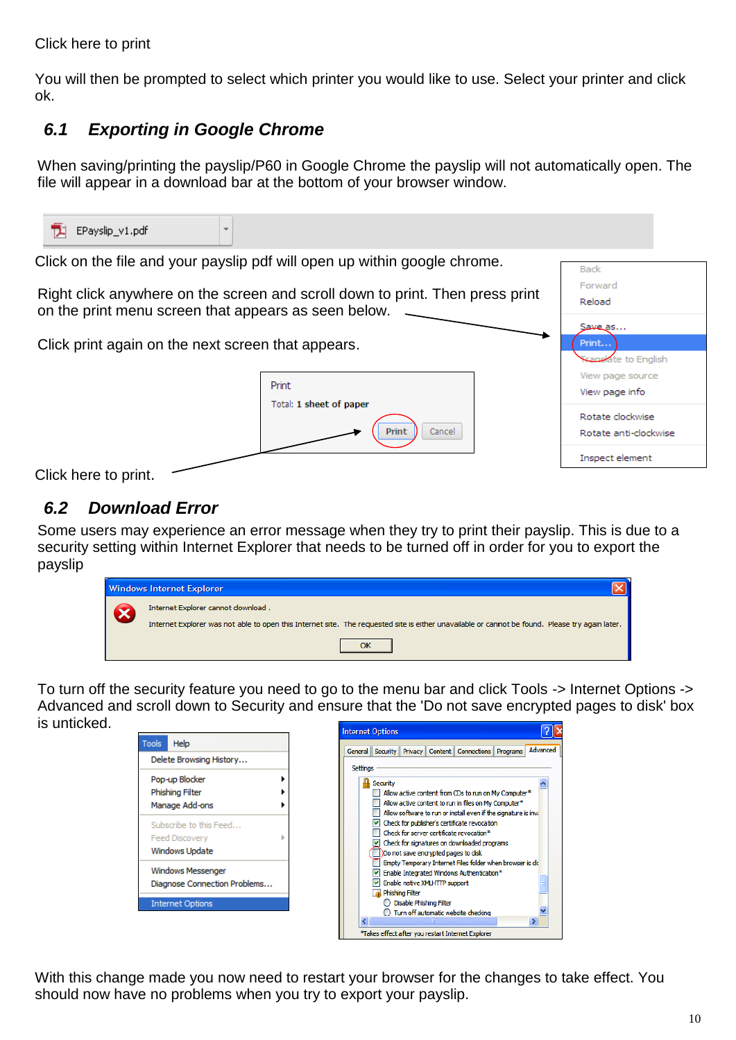#### Click here to print

You will then be prompted to select which printer you would like to use. Select your printer and click ok.

## <span id="page-9-0"></span>*6.1 Exporting in Google Chrome*

When saving/printing the payslip/P60 in Google Chrome the payslip will not automatically open. The file will appear in a download bar at the bottom of your browser window.

| EPayslip_v1.pdf<br>÷                                                                                                                                       |                                                                           |                                                 |                                           |  |  |
|------------------------------------------------------------------------------------------------------------------------------------------------------------|---------------------------------------------------------------------------|-------------------------------------------------|-------------------------------------------|--|--|
|                                                                                                                                                            | Click on the file and your payslip pdf will open up within google chrome. |                                                 | <b>Back</b>                               |  |  |
| Forward<br>Right click anywhere on the screen and scroll down to print. Then press print<br>Reload<br>on the print menu screen that appears as seen below. |                                                                           |                                                 |                                           |  |  |
| Click print again on the next screen that appears.                                                                                                         |                                                                           | Save as<br>Print<br><b>Franslate</b> to English |                                           |  |  |
|                                                                                                                                                            | Print                                                                     |                                                 | View page source<br>View page info        |  |  |
|                                                                                                                                                            | Total: 1 sheet of paper<br><b>Print</b><br>Cancel                         |                                                 | Rotate clockwise<br>Rotate anti-clockwise |  |  |
| Click here to print.                                                                                                                                       |                                                                           |                                                 | Inspect element                           |  |  |

### <span id="page-9-1"></span>*6.2 Download Error*

Some users may experience an error message when they try to print their payslip. This is due to a security setting within Internet Explorer that needs to be turned off in order for you to export the payslip

| <b>Windows Internet Explorer</b>                                                                                                                                                      |
|---------------------------------------------------------------------------------------------------------------------------------------------------------------------------------------|
| Internet Explorer cannot download.<br>Internet Explorer was not able to open this Internet site. The requested site is either unavailable or cannot be found. Please try again later. |
|                                                                                                                                                                                       |

To turn off the security feature you need to go to the menu bar and click Tools -> Internet Options -> Advanced and scroll down to Security and ensure that the 'Do not save encrypted pages to disk' box is unticked.

|                                                                   | <b>Internet Options</b> |                 |                               |                                                                                                                                                                                       |          |
|-------------------------------------------------------------------|-------------------------|-----------------|-------------------------------|---------------------------------------------------------------------------------------------------------------------------------------------------------------------------------------|----------|
| Help<br>Tools                                                     |                         |                 |                               | General Security Privacy Content Connections Programs                                                                                                                                 | Advanced |
| Delete Browsing History                                           | <b>Settings</b>         |                 |                               |                                                                                                                                                                                       |          |
| Pop-up Blocker<br>Phishing Filter<br>Manage Add-ons               |                         | <b>Security</b> |                               | Allow active content from CDs to run on My Computer*<br>Allow active content to run in files on My Computer*<br>Allow software to run or install even if the signature is invi-       |          |
| Subscribe to this Feed<br><b>Feed Discovery</b><br>Windows Update |                         |                 |                               | Check for publisher's certificate revocation<br>Check for server certificate revocation*<br>$\vee$ Check for signatures on downloaded programs<br>Do not save encrypted pages to disk |          |
| <b>Windows Messenger</b><br>Diagnose Connection Problems          |                         | Phishing Filter | Enable native XMLHTTP support | Empty Temporary Internet Files folder when browser is clo<br>Enable Integrated Windows Authentication*                                                                                |          |
| <b>Internet Options</b>                                           |                         |                 | ◯ Disable Phishing Filter     | ◯ Turn off automatic website checking<br>*Takes effect after you restart Internet Explorer                                                                                            |          |

With this change made you now need to restart your browser for the changes to take effect. You should now have no problems when you try to export your payslip.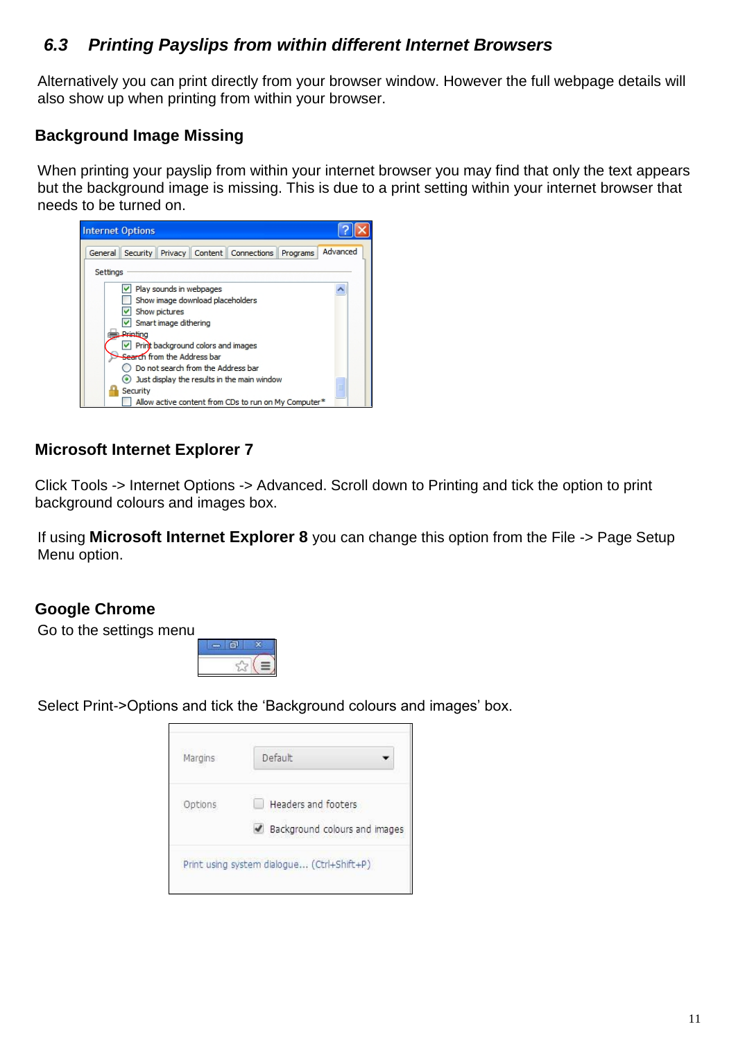### <span id="page-10-0"></span>*6.3 Printing Payslips from within different Internet Browsers*

Alternatively you can print directly from your browser window. However the full webpage details will also show up when printing from within your browser.

### **Background Image Missing**

When printing your payslip from within your internet browser you may find that only the text appears but the background image is missing. This is due to a print setting within your internet browser that needs to be turned on.



#### **Microsoft Internet Explorer 7**

Click Tools -> Internet Options -> Advanced. Scroll down to Printing and tick the option to print background colours and images box.

If using **Microsoft Internet Explorer 8** you can change this option from the File -> Page Setup Menu option.

#### **Google Chrome**

Go to the settings menu



Select Print->Options and tick the 'Background colours and images' box.

| Margins | Default                                    |
|---------|--------------------------------------------|
| Options | Headers and footers                        |
|         | Background colours and images              |
|         | Print using system dialogue (Ctrl+Shift+P) |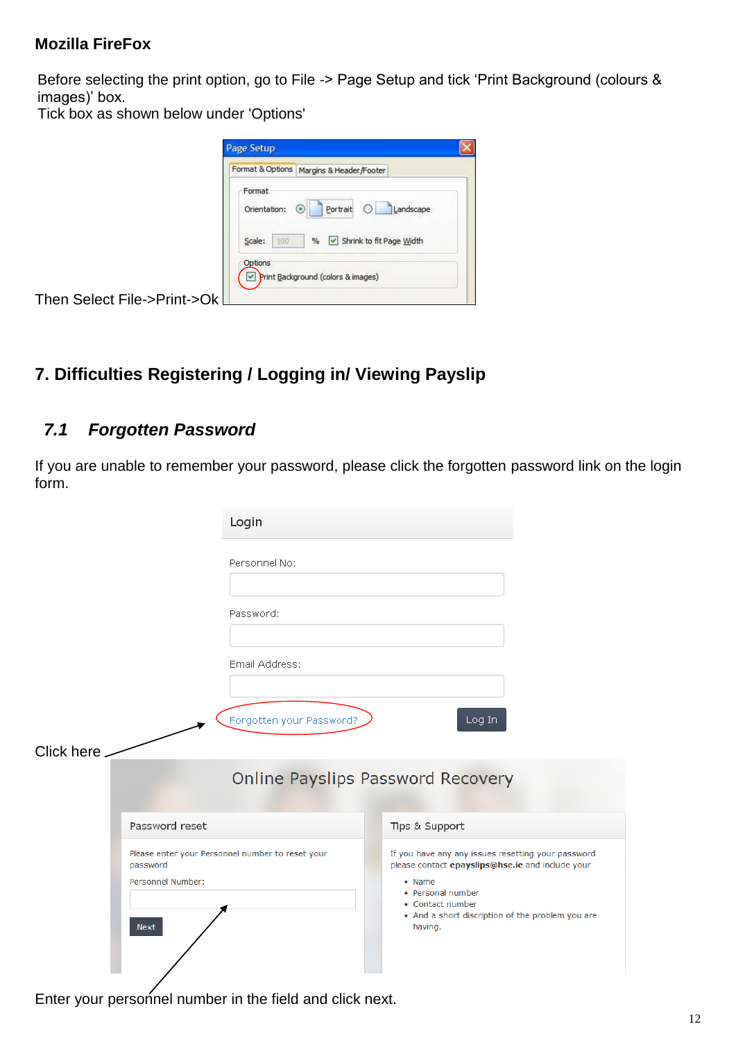#### **Mozilla FireFox**

Before selecting the print option, go to File -> Page Setup and tick 'Print Background (colours & images)' box.

Tick box as shown below under 'Options'

|                             | Page Setup                                                                                                                      |
|-----------------------------|---------------------------------------------------------------------------------------------------------------------------------|
|                             | Format & Options<br>Margins & Header/Footer                                                                                     |
|                             | Format<br>,,,,,,,,,,,,,,,,,,,,,,,,,,,,,,,,,<br>Landscape<br>Orientation:<br>Portrait<br>64<br>,,,,,,,,,,,,,,,,,,,,,,,,,,,,,,,,, |
| Then Select File->Print->Ok | Shrink to fit Page Width<br>Scale:<br>100<br>$\frac{9}{6}$<br>Options<br>Print Background (colors & images)<br>M                |

## <span id="page-11-0"></span>**7. Difficulties Registering / Logging in/ Viewing Payslip**

### <span id="page-11-1"></span>*7.1 Forgotten Password*

If you are unable to remember your password, please click the forgotten password link on the login form.

|            |                                       | Login                                            |                                                                                                                                                                                                                                  |  |
|------------|---------------------------------------|--------------------------------------------------|----------------------------------------------------------------------------------------------------------------------------------------------------------------------------------------------------------------------------------|--|
|            |                                       | Personnel No:                                    |                                                                                                                                                                                                                                  |  |
|            |                                       | Password:                                        |                                                                                                                                                                                                                                  |  |
|            |                                       | Email Address:                                   |                                                                                                                                                                                                                                  |  |
|            |                                       | Forgotten your Password?                         | Log In                                                                                                                                                                                                                           |  |
| Click here |                                       |                                                  |                                                                                                                                                                                                                                  |  |
|            |                                       | <b>Online Payslips Password Recovery</b>         |                                                                                                                                                                                                                                  |  |
|            | Password reset                        |                                                  | Tips & Support                                                                                                                                                                                                                   |  |
|            | password<br>Personnel Number:<br>Next | Please enter your Personnel number to reset your | If you have any any issues resetting your password<br>please contact epayslips@hse.ie and include your<br>$\bullet$ Name<br>• Personal number<br>• Contact number<br>• And a short discription of the problem you are<br>having. |  |

Enter your personnel number in the field and click next.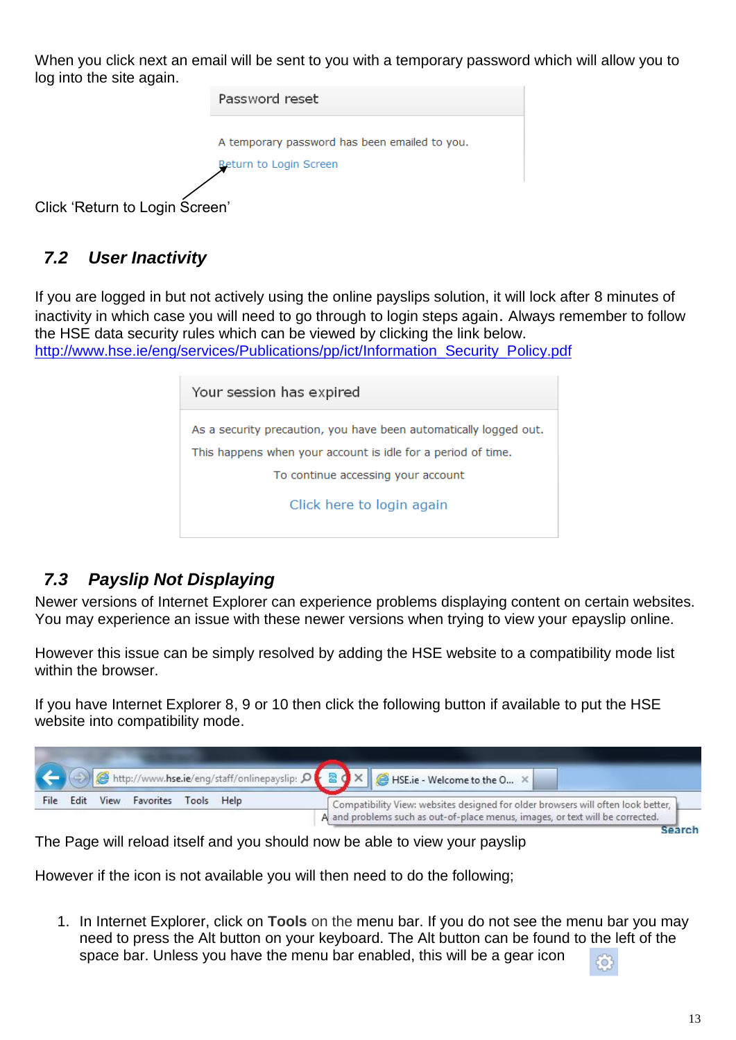When you click next an email will be sent to you with a temporary password which will allow you to log into the site again.



### <span id="page-12-0"></span>*7.2 User Inactivity*

If you are logged in but not actively using the online payslips solution, it will lock after 8 minutes of inactivity in which case you will need to go through to login steps again. Always remember to follow the HSE data security rules which can be viewed by clicking the link below.

[http://www.hse.ie/eng/services/Publications/pp/ict/Information\\_Security\\_Policy.pdf](http://www.hse.ie/eng/services/Publications/pp/ict/Information_Security_Policy.pdf)

| Your session has expired                                                                                                          |
|-----------------------------------------------------------------------------------------------------------------------------------|
| As a security precaution, you have been automatically logged out.<br>This happens when your account is idle for a period of time. |
| To continue accessing your account                                                                                                |
| Click here to login again                                                                                                         |

#### <span id="page-12-1"></span>*7.3 Payslip Not Displaying*

Newer versions of Internet Explorer can experience problems displaying content on certain websites. You may experience an issue with these newer versions when trying to view your epayslip online.

However this issue can be simply resolved by adding the HSE website to a compatibility mode list within the browser.

If you have Internet Explorer 8, 9 or 10 then click the following button if available to put the HSE website into compatibility mode.



The Page will reload itself and you should now be able to view your payslip

However if the icon is not available you will then need to do the following;

1. In Internet Explorer, click on **Tools** on the menu bar. If you do not see the menu bar you may need to press the Alt button on your keyboard. The Alt button can be found to the left of the space bar. Unless you have the menu bar enabled, this will be a gear icon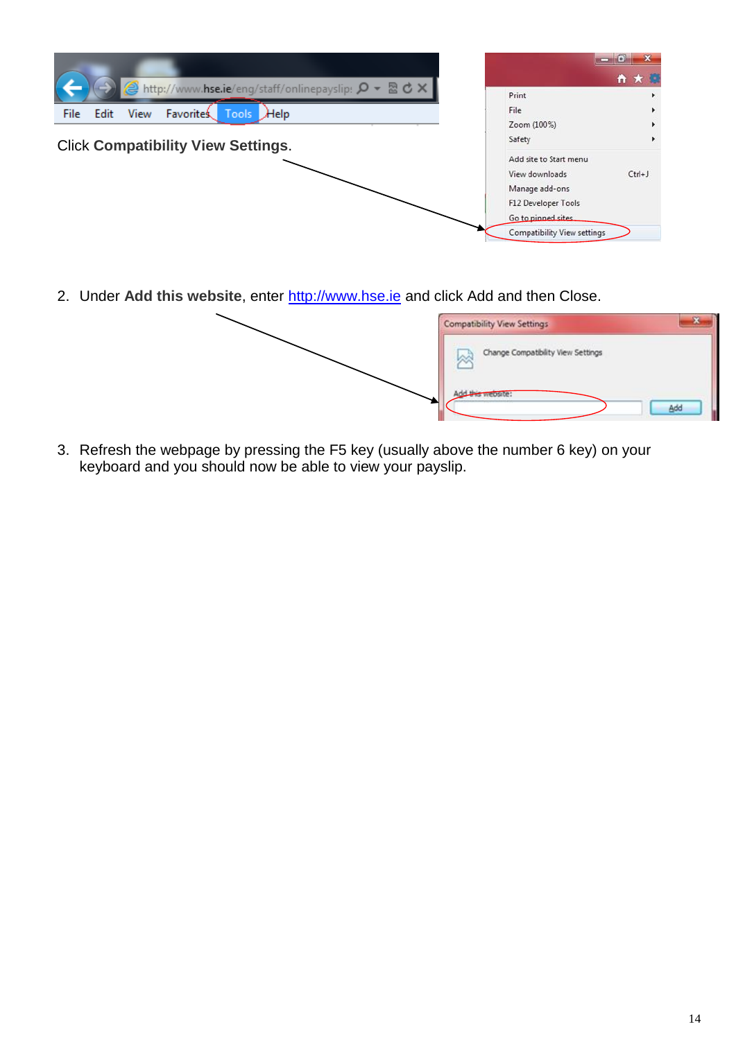

2. Under **Add this website**, enter [http://www.hse.ie](http://www.hse.ie/) and click Add and then Close.

| Compatibility View Settings                                                     |     |
|---------------------------------------------------------------------------------|-----|
| the contract of the contract of<br>Change Compatibility View Settings<br>لأمخرا |     |
| <b>New Website</b>                                                              | Add |

3. Refresh the webpage by pressing the F5 key (usually above the number 6 key) on your keyboard and you should now be able to view your payslip.